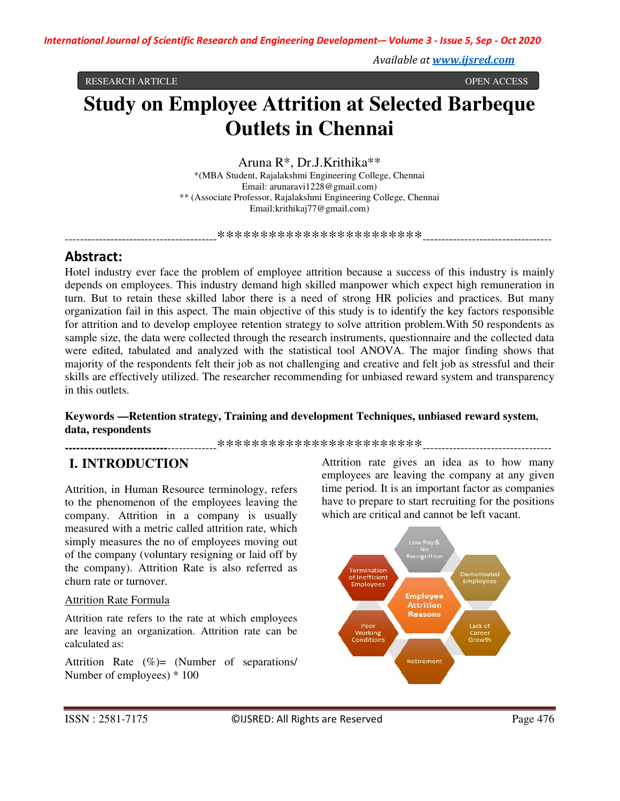*Available at www.ijsred.com*

RESEARCH ARTICLE OPEN ACCESS

# **Study on Employee Attrition at Selected Barbeque Outlets in Chennai**

Aruna R\*, Dr.J.Krithika\*\* \*(MBA Student, Rajalakshmi Engineering College, Chennai Email: arunaravi1228@gmail.com) \*\* (Associate Professor, Rajalakshmi Engineering College, Chennai Email:krithikaj77@gmail.com)

----------------------------------------\*\*\*\*\*\*\*\*\*\*\*\*\*\*\*\*\*\*\*\*\*\*\*\*----------------------------------

# **Abstract:**

Hotel industry ever face the problem of employee attrition because a success of this industry is mainly depends on employees. This industry demand high skilled manpower which expect high remuneration in turn. But to retain these skilled labor there is a need of strong HR policies and practices. But many organization fail in this aspect. The main objective of this study is to identify the key factors responsible for attrition and to develop employee retention strategy to solve attrition problem.With 50 respondents as sample size, the data were collected through the research instruments, questionnaire and the collected data were edited, tabulated and analyzed with the statistical tool ANOVA. The major finding shows that majority of the respondents felt their job as not challenging and creative and felt job as stressful and their skills are effectively utilized. The researcher recommending for unbiased reward system and transparency in this outlets.

#### **Keywords —Retention strategy, Training and development Techniques, unbiased reward system, data, respondents**

**---------------------------**-------------\*\*\*\*\*\*\*\*\*\*\*\*\*\*\*\*\*\*\*\*\*\*\*\*----------------------------------

# **I. INTRODUCTION**

Attrition, in Human Resource terminology, refers to the phenomenon of the employees leaving the company. Attrition in a company is usually measured with a metric called attrition rate, which simply measures the no of employees moving out of the company (voluntary resigning or laid off by the company). Attrition Rate is also referred as churn rate or turnover.

#### Attrition Rate Formula

Attrition rate refers to the rate at which employees are leaving an organization. Attrition rate can be calculated as:

Attrition Rate (%)= (Number of separations/ Number of employees) \* 100

Attrition rate gives an idea as to how many employees are leaving the company at any given time period. It is an important factor as companies have to prepare to start recruiting for the positions which are critical and cannot be left vacant.

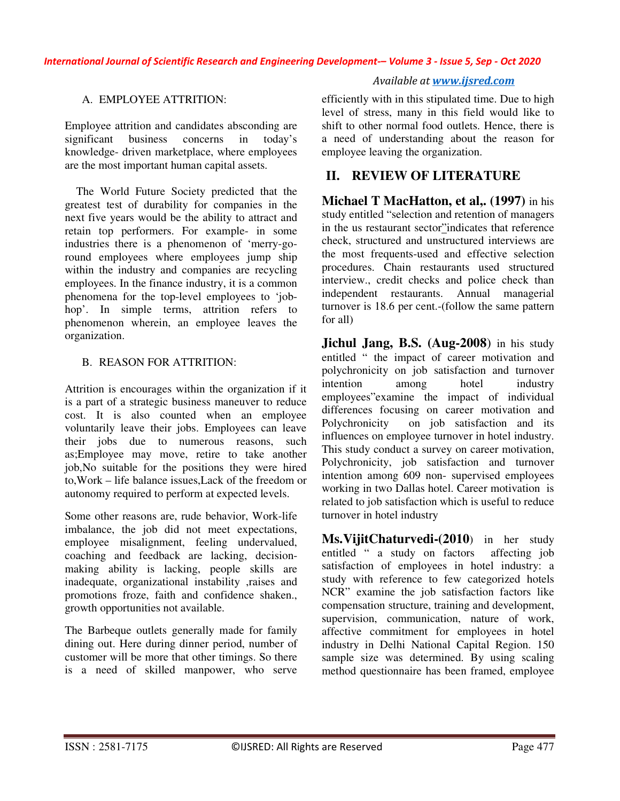## *Available at www.ijsred.com*

## A. EMPLOYEE ATTRITION:

Employee attrition and candidates absconding are significant business concerns in today's knowledge- driven marketplace, where employees are the most important human capital assets.

 The World Future Society predicted that the greatest test of durability for companies in the next five years would be the ability to attract and retain top performers. For example- in some industries there is a phenomenon of 'merry-goround employees where employees jump ship within the industry and companies are recycling employees. In the finance industry, it is a common phenomena for the top-level employees to 'jobhop'. In simple terms, attrition refers to phenomenon wherein, an employee leaves the organization.

#### B. REASON FOR ATTRITION:

Attrition is encourages within the organization if it is a part of a strategic business maneuver to reduce cost. It is also counted when an employee voluntarily leave their jobs. Employees can leave their jobs due to numerous reasons, such as;Employee may move, retire to take another job,No suitable for the positions they were hired to,Work – life balance issues,Lack of the freedom or autonomy required to perform at expected levels.

Some other reasons are, rude behavior, Work-life imbalance, the job did not meet expectations, employee misalignment, feeling undervalued, coaching and feedback are lacking, decisionmaking ability is lacking, people skills are inadequate, organizational instability ,raises and promotions froze, faith and confidence shaken., growth opportunities not available.

The Barbeque outlets generally made for family dining out. Here during dinner period, number of customer will be more that other timings. So there is a need of skilled manpower, who serve

efficiently with in this stipulated time. Due to high level of stress, many in this field would like to shift to other normal food outlets. Hence, there is a need of understanding about the reason for employee leaving the organization.

# **II. REVIEW OF LITERATURE**

**Michael T MacHatton, et al., (1997)** in his study entitled "selection and retention of managers in the us restaurant sector"indicates that reference check, structured and unstructured interviews are the most frequents-used and effective selection procedures. Chain restaurants used structured interview., credit checks and police check than independent restaurants. Annual managerial turnover is 18.6 per cent.-(follow the same pattern for all)

**Jichul Jang, B.S. (Aug-2008**) in his study entitled " the impact of career motivation and polychronicity on job satisfaction and turnover intention among hotel industry employees"examine the impact of individual differences focusing on career motivation and Polychronicity on job satisfaction and its influences on employee turnover in hotel industry. This study conduct a survey on career motivation, Polychronicity, job satisfaction and turnover intention among 609 non- supervised employees working in two Dallas hotel. Career motivation is related to job satisfaction which is useful to reduce turnover in hotel industry

**Ms.VijitChaturvedi-(2010**) in her study entitled " a study on factors affecting job satisfaction of employees in hotel industry: a study with reference to few categorized hotels NCR" examine the job satisfaction factors like compensation structure, training and development, supervision, communication, nature of work, affective commitment for employees in hotel industry in Delhi National Capital Region. 150 sample size was determined. By using scaling method questionnaire has been framed, employee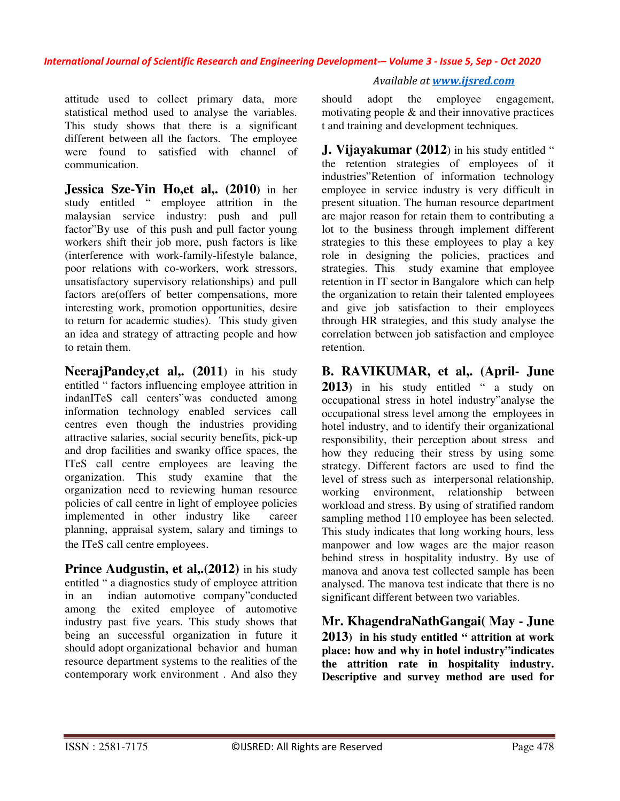attitude used to collect primary data, more statistical method used to analyse the variables. This study shows that there is a significant different between all the factors. The employee were found to satisfied with channel of communication.

**Jessica Sze-Yin Ho,et al,. (2010)** in her study entitled " employee attrition in the malaysian service industry: push and pull factor"By use of this push and pull factor young workers shift their job more, push factors is like (interference with work-family-lifestyle balance, poor relations with co-workers, work stressors, unsatisfactory supervisory relationships) and pull factors are(offers of better compensations, more interesting work, promotion opportunities, desire to return for academic studies). This study given an idea and strategy of attracting people and how to retain them.

**NeerajPandey,et al,. (2011)** in his study entitled " factors influencing employee attrition in indanITeS call centers"was conducted among information technology enabled services call centres even though the industries providing attractive salaries, social security benefits, pick-up and drop facilities and swanky office spaces, the ITeS call centre employees are leaving the organization. This study examine that the organization need to reviewing human resource policies of call centre in light of employee policies implemented in other industry like career planning, appraisal system, salary and timings to the ITeS call centre employees.

**Prince Audgustin, et al, (2012)** in his study entitled " a diagnostics study of employee attrition in an indian automotive company"conducted among the exited employee of automotive industry past five years. This study shows that being an successful organization in future it should adopt organizational behavior and human resource department systems to the realities of the contemporary work environment . And also they

#### *Available at www.ijsred.com*

should adopt the employee engagement, motivating people  $\&$  and their innovative practices t and training and development techniques.

**J. Vijayakumar (2012**) in his study entitled " the retention strategies of employees of it industries"Retention of information technology employee in service industry is very difficult in present situation. The human resource department are major reason for retain them to contributing a lot to the business through implement different strategies to this these employees to play a key role in designing the policies, practices and strategies. This study examine that employee retention in IT sector in Bangalore which can help the organization to retain their talented employees and give job satisfaction to their employees through HR strategies, and this study analyse the correlation between job satisfaction and employee retention.

**B. RAVIKUMAR, et al,. (April- June 2013)** in his study entitled " a study on occupational stress in hotel industry"analyse the occupational stress level among the employees in hotel industry, and to identify their organizational responsibility, their perception about stress and how they reducing their stress by using some strategy. Different factors are used to find the level of stress such as interpersonal relationship, working environment, relationship between workload and stress. By using of stratified random sampling method 110 employee has been selected. This study indicates that long working hours, less manpower and low wages are the major reason behind stress in hospitality industry. By use of manova and anova test collected sample has been analysed. The manova test indicate that there is no significant different between two variables.

**Mr. KhagendraNathGangai( May - June 2013) in his study entitled " attrition at work place: how and why in hotel industry"indicates the attrition rate in hospitality industry. Descriptive and survey method are used for**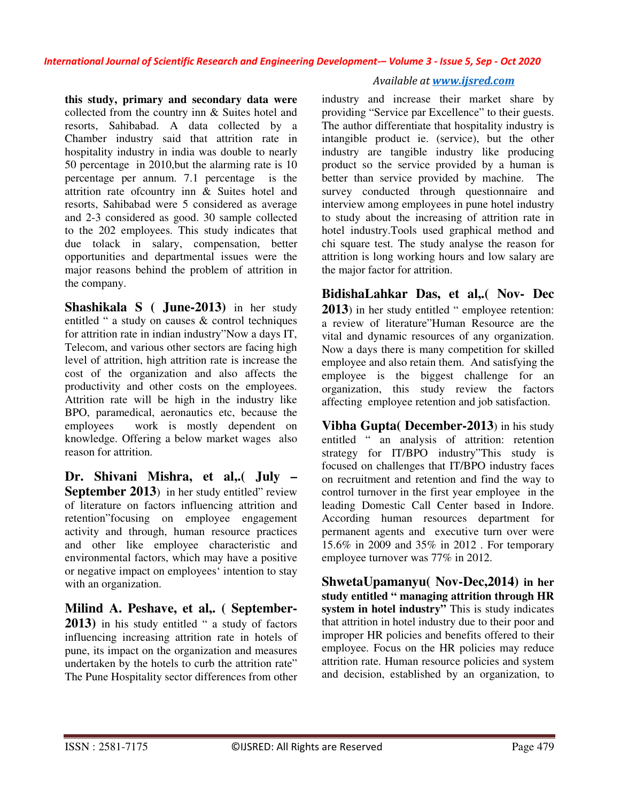**this study, primary and secondary data were** collected from the country inn & Suites hotel and resorts, Sahibabad. A data collected by a Chamber industry said that attrition rate in hospitality industry in india was double to nearly 50 percentage in 2010,but the alarming rate is 10 percentage per annum. 7.1 percentage is the attrition rate ofcountry inn & Suites hotel and resorts, Sahibabad were 5 considered as average and 2-3 considered as good. 30 sample collected to the 202 employees. This study indicates that due tolack in salary, compensation, better opportunities and departmental issues were the major reasons behind the problem of attrition in the company.

**Shashikala S ( June-2013)** in her study entitled " a study on causes & control techniques for attrition rate in indian industry"Now a days IT, Telecom, and various other sectors are facing high level of attrition, high attrition rate is increase the cost of the organization and also affects the productivity and other costs on the employees. Attrition rate will be high in the industry like BPO, paramedical, aeronautics etc, because the employees work is mostly dependent on knowledge. Offering a below market wages also reason for attrition.

**Dr. Shivani Mishra, et al,.( July – September 2013**) in her study entitled" review of literature on factors influencing attrition and retention"focusing on employee engagement activity and through, human resource practices and other like employee characteristic and environmental factors, which may have a positive or negative impact on employees' intention to stay with an organization.

**Milind A. Peshave, et al,. ( September-2013)** in his study entitled " a study of factors influencing increasing attrition rate in hotels of pune, its impact on the organization and measures undertaken by the hotels to curb the attrition rate" The Pune Hospitality sector differences from other

## *Available at www.ijsred.com*

industry and increase their market share by providing "Service par Excellence" to their guests. The author differentiate that hospitality industry is intangible product ie. (service), but the other industry are tangible industry like producing product so the service provided by a human is better than service provided by machine. The survey conducted through questionnaire and interview among employees in pune hotel industry to study about the increasing of attrition rate in hotel industry.Tools used graphical method and chi square test. The study analyse the reason for attrition is long working hours and low salary are the major factor for attrition.

**BidishaLahkar Das, et al,.( Nov- Dec 2013**) in her study entitled " employee retention: a review of literature"Human Resource are the vital and dynamic resources of any organization. Now a days there is many competition for skilled employee and also retain them. And satisfying the employee is the biggest challenge for an organization, this study review the factors affecting employee retention and job satisfaction.

**Vibha Gupta( December-2013**) in his study entitled " an analysis of attrition: retention strategy for IT/BPO industry"This study is focused on challenges that IT/BPO industry faces on recruitment and retention and find the way to control turnover in the first year employee in the leading Domestic Call Center based in Indore. According human resources department for permanent agents and executive turn over were 15.6% in 2009 and 35% in 2012 . For temporary employee turnover was 77% in 2012.

**ShwetaUpamanyu( Nov-Dec,2014) in her study entitled " managing attrition through HR**  system in hotel industry<sup>7</sup> This is study indicates that attrition in hotel industry due to their poor and improper HR policies and benefits offered to their employee. Focus on the HR policies may reduce attrition rate. Human resource policies and system and decision, established by an organization, to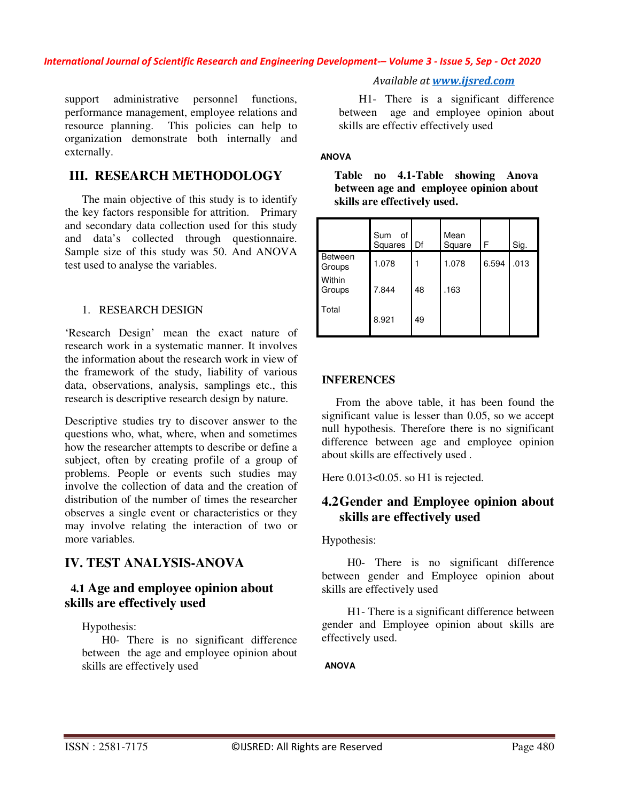support administrative personnel functions, performance management, employee relations and resource planning. This policies can help to organization demonstrate both internally and externally.

## **III. RESEARCH METHODOLOGY**

 The main objective of this study is to identify the key factors responsible for attrition. Primary and secondary data collection used for this study and data's collected through questionnaire. Sample size of this study was 50. And ANOVA test used to analyse the variables.

#### 1. RESEARCH DESIGN

'Research Design' mean the exact nature of research work in a systematic manner. It involves the information about the research work in view of the framework of the study, liability of various data, observations, analysis, samplings etc., this research is descriptive research design by nature.

Descriptive studies try to discover answer to the questions who, what, where, when and sometimes how the researcher attempts to describe or define a subject, often by creating profile of a group of problems. People or events such studies may involve the collection of data and the creation of distribution of the number of times the researcher observes a single event or characteristics or they may involve relating the interaction of two or more variables.

# **IV. TEST ANALYSIS-ANOVA**

## **4.1 Age and employee opinion about skills are effectively used**

Hypothesis:

 H0- There is no significant difference between the age and employee opinion about skills are effectively used

*Available at www.ijsred.com*

 H1- There is a significant difference between age and employee opinion about skills are effectiv effectively used

### **ANOVA**

| $\frac{1}{2}$            |                      |    |                |       |      |  |
|--------------------------|----------------------|----|----------------|-------|------|--|
|                          | Sum<br>of<br>Squares | Df | Mean<br>Square | F     | Sig. |  |
| <b>Between</b><br>Groups | 1.078                |    | 1.078          | 6.594 | .013 |  |
| Within<br>Groups         | 7.844                | 48 | .163           |       |      |  |
| Total                    | 8.921                | 49 |                |       |      |  |

**Table no 4.1-Table showing Anova between age and employee opinion about skills are effectively used.** 

#### **INFERENCES**

 From the above table, it has been found the significant value is lesser than 0.05, so we accept null hypothesis. Therefore there is no significant difference between age and employee opinion about skills are effectively used .

Here  $0.013<0.05$ . so H1 is rejected.

## **4.2Gender and Employee opinion about skills are effectively used**

Hypothesis:

 H0- There is no significant difference between gender and Employee opinion about skills are effectively used

 H1- There is a significant difference between gender and Employee opinion about skills are effectively used.

**ANOVA**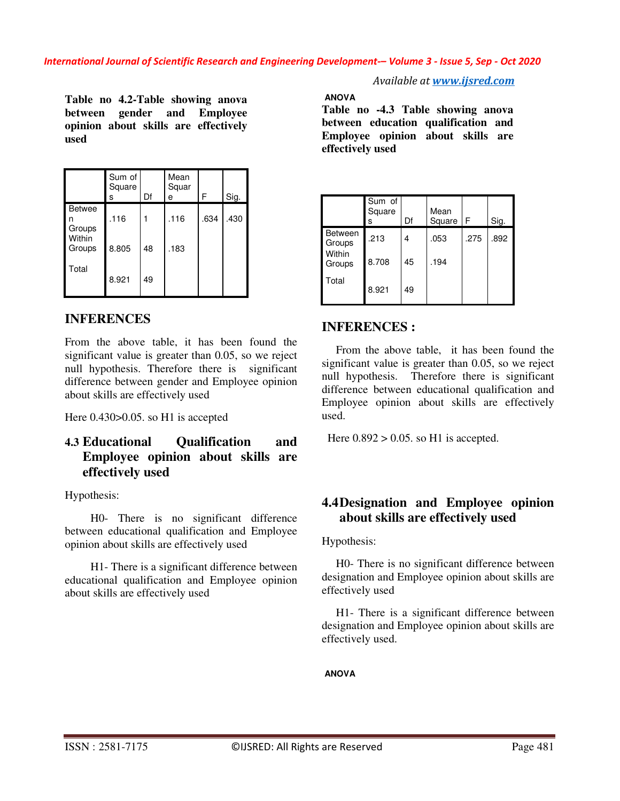**Table no 4.2-Table showing anova between gender and Employee opinion about skills are effectively used** 

|                              | Sum of<br>Square<br>S | Df | Mean<br>Squar<br>e | F    | Sig. |
|------------------------------|-----------------------|----|--------------------|------|------|
| <b>Betwee</b><br>n<br>Groups | .116                  |    | .116               | .634 | .430 |
| Within<br>Groups             | 8.805                 | 48 | .183               |      |      |
| Total                        | 8.921                 | 49 |                    |      |      |

# **INFERENCES**

From the above table, it has been found the significant value is greater than 0.05, so we reject null hypothesis. Therefore there is significant difference between gender and Employee opinion about skills are effectively used

Here  $0.430 > 0.05$ . so H1 is accepted

# **4.3 Educational Qualification and Employee opinion about skills are effectively used**

#### Hypothesis:

 H0- There is no significant difference between educational qualification and Employee opinion about skills are effectively used

 H1- There is a significant difference between educational qualification and Employee opinion about skills are effectively used

*Available at www.ijsred.com*

**ANOVA** 

**Table no -4.3 Table showing anova between education qualification and Employee opinion about skills are effectively used** 

|                                              | Sum of<br>Square<br>s | Df | Mean<br>Square | F    | Sig. |
|----------------------------------------------|-----------------------|----|----------------|------|------|
| <b>Between</b><br>Groups<br>Within<br>Groups | .213                  | 4  | .053           | .275 | .892 |
|                                              | 8.708                 | 45 | .194           |      |      |
| Total                                        | 8.921                 | 49 |                |      |      |

# **INFERENCES :**

 From the above table, it has been found the significant value is greater than 0.05, so we reject null hypothesis. Therefore there is significant difference between educational qualification and Employee opinion about skills are effectively used.

Here  $0.892 > 0.05$ . so H1 is accepted.

# **4.4Designation and Employee opinion about skills are effectively used**

#### Hypothesis:

 H0- There is no significant difference between designation and Employee opinion about skills are effectively used

 H1- There is a significant difference between designation and Employee opinion about skills are effectively used.

#### **ANOVA**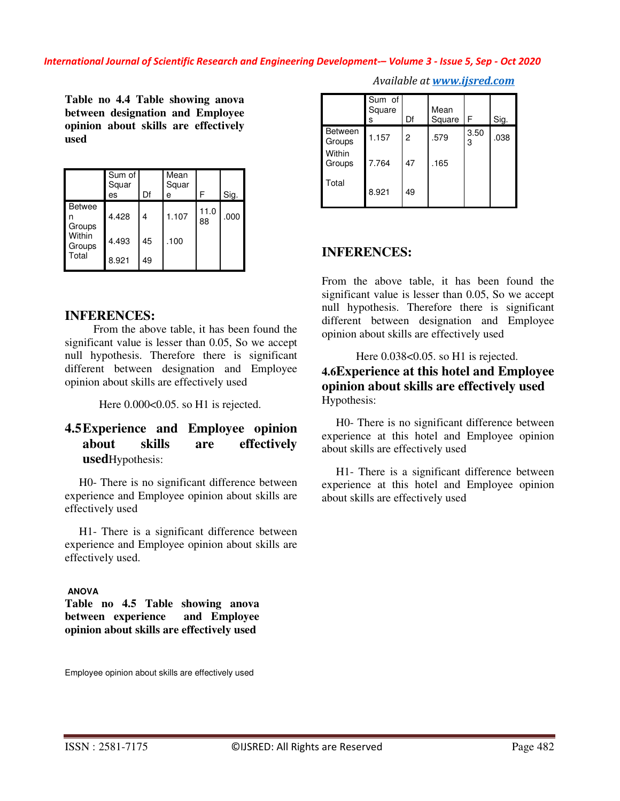**Table no 4.4 Table showing anova between designation and Employee opinion about skills are effectively used**

|                                                      | Sum of<br>Squar<br>es | Df | Mean<br>Squar<br>e | F          | Sig. |
|------------------------------------------------------|-----------------------|----|--------------------|------------|------|
| <b>Betwee</b><br>Groups<br>Within<br>Groups<br>Total | 4.428                 | 4  | 1.107              | 11.0<br>88 | .000 |
|                                                      | 4.493                 | 45 | .100               |            |      |
|                                                      | 8.921                 | 49 |                    |            |      |

#### **INFERENCES:**

 From the above table, it has been found the significant value is lesser than 0.05, So we accept null hypothesis. Therefore there is significant different between designation and Employee opinion about skills are effectively used

Here  $0.000<0.05$ . so H1 is rejected.

## **4.5Experience and Employee opinion about skills are effectively used**Hypothesis:

 H0- There is no significant difference between experience and Employee opinion about skills are effectively used

 H1- There is a significant difference between experience and Employee opinion about skills are effectively used.

#### **ANOVA**

**Table no 4.5 Table showing anova between experience and Employee opinion about skills are effectively used**

Sum of Square s Df Mean Square F Sig. Between<br>Groups Between 1.157 2 .579 3.50  $\begin{array}{|c|c|} \hline 3.50 & .038 \\ \hline \end{array}$ **Within** Groups 7.764 47 .165 Total 8.921 49

*Available at www.ijsred.com*

#### **INFERENCES:**

From the above table, it has been found the significant value is lesser than 0.05, So we accept null hypothesis. Therefore there is significant different between designation and Employee opinion about skills are effectively used

## Here  $0.038<0.05$ . so H1 is rejected. **4.6Experience at this hotel and Employee opinion about skills are effectively used** Hypothesis:

 H0- There is no significant difference between experience at this hotel and Employee opinion about skills are effectively used

 H1- There is a significant difference between experience at this hotel and Employee opinion about skills are effectively used

Employee opinion about skills are effectively used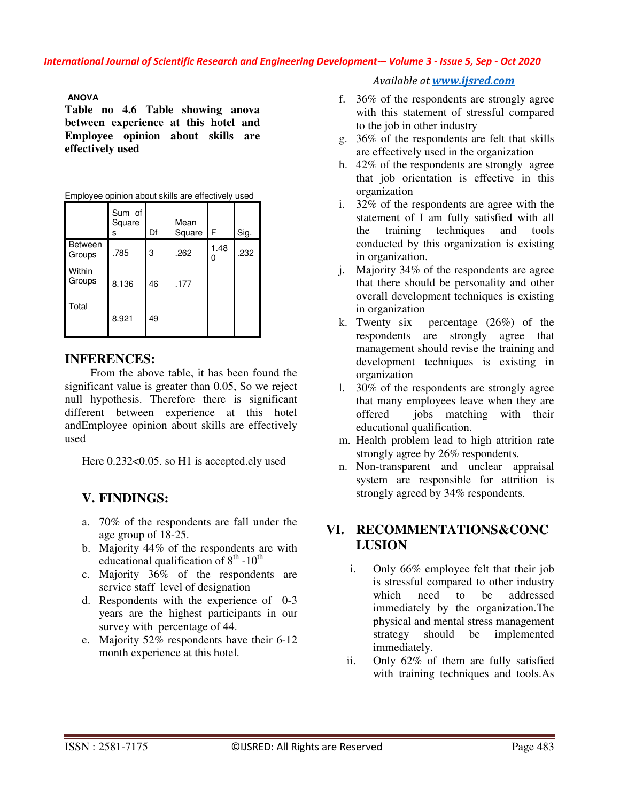#### **ANOVA**

**Table no 4.6 Table showing anova between experience at this hotel and Employee opinion about skills are effectively used** 

|                          | Sum of<br>Square<br>S | Df | Mean<br>Square | F         | Sig. |
|--------------------------|-----------------------|----|----------------|-----------|------|
| <b>Between</b><br>Groups | .785                  | 3  | .262           | 1.48<br>0 | .232 |
| Within<br>Groups         | 8.136                 | 46 | .177           |           |      |
| Total                    | 8.921                 | 49 |                |           |      |

Employee opinion about skills are effectively used

## **INFERENCES:**

 From the above table, it has been found the significant value is greater than 0.05, So we reject null hypothesis. Therefore there is significant different between experience at this hotel andEmployee opinion about skills are effectively used

Here  $0.232<0.05$ . so H1 is accepted.ely used

# **V. FINDINGS:**

- a. 70% of the respondents are fall under the age group of 18-25.
- b. Majority 44% of the respondents are with educational qualification of  $8<sup>th</sup>$  -10<sup>th</sup>
- c. Majority 36% of the respondents are service staff level of designation
- d. Respondents with the experience of 0-3 years are the highest participants in our survey with percentage of 44.
- e. Majority 52% respondents have their 6-12 month experience at this hotel.

*Available at www.ijsred.com*

- f. 36% of the respondents are strongly agree with this statement of stressful compared to the job in other industry
- g. 36% of the respondents are felt that skills are effectively used in the organization
- h. 42% of the respondents are strongly agree that job orientation is effective in this organization
- i. 32% of the respondents are agree with the statement of I am fully satisfied with all the training techniques and tools conducted by this organization is existing in organization.
- j. Majority 34% of the respondents are agree that there should be personality and other overall development techniques is existing in organization
- k. Twenty six percentage (26%) of the respondents are strongly agree that management should revise the training and development techniques is existing in organization
- l. 30% of the respondents are strongly agree that many employees leave when they are offered jobs matching with their educational qualification.
- m. Health problem lead to high attrition rate strongly agree by 26% respondents.
- n. Non-transparent and unclear appraisal system are responsible for attrition is strongly agreed by 34% respondents.

## **VI. RECOMMENTATIONS&CONC LUSION**

- i. Only 66% employee felt that their job is stressful compared to other industry which need to be addressed immediately by the organization.The physical and mental stress management strategy should be implemented immediately.
- ii. Only 62% of them are fully satisfied with training techniques and tools.As